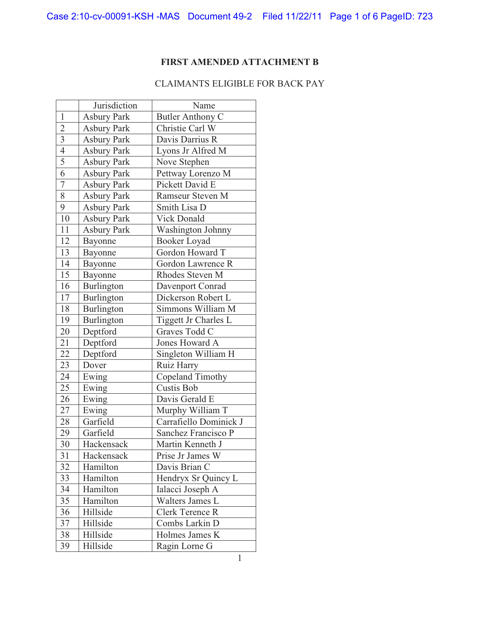## **FIRST AMENDED ATTACHMENT B**

## CLAIMANTS ELIGIBLE FOR BACK PAY

|                 | Jurisdiction       | Name                              |
|-----------------|--------------------|-----------------------------------|
| $\mathbf{1}$    | <b>Asbury Park</b> | Butler Anthony C                  |
| $\overline{c}$  | <b>Asbury Park</b> | Christie Carl W                   |
| $\overline{3}$  | <b>Asbury Park</b> | Davis Darrius R                   |
| $\overline{4}$  | <b>Asbury Park</b> | Lyons Jr Alfred M                 |
| $\overline{5}$  | <b>Asbury Park</b> | Nove Stephen                      |
| 6               | <b>Asbury Park</b> | Pettway Lorenzo M                 |
| $\overline{7}$  | <b>Asbury Park</b> | Pickett David E                   |
| 8               | <b>Asbury Park</b> | Ramseur Steven M                  |
| 9               | <b>Asbury Park</b> | Smith Lisa D                      |
| 10              | <b>Asbury Park</b> | <b>Vick Donald</b>                |
| 11              | <b>Asbury Park</b> | <b>Washington Johnny</b>          |
| 12              | Bayonne            | Booker Loyad                      |
| 13              | Bayonne            | Gordon Howard T                   |
| 14              | Bayonne            | Gordon Lawrence R                 |
| 15              | Bayonne            | Rhodes Steven M                   |
| 16              | Burlington         | Davenport Conrad                  |
| 17              | Burlington         | Dickerson Robert L                |
| 18              | Burlington         | Simmons William M                 |
| 19              | Burlington         | Tiggett Jr Charles $\overline{L}$ |
| 20              | Deptford           | Graves Todd C                     |
| 21              | Deptford           | Jones Howard A                    |
| $\overline{22}$ | Deptford           | Singleton William H               |
| 23              | Dover              | Ruiz Harry                        |
| 24              | Ewing              | Copeland Timothy                  |
| 25              | Ewing              | Custis Bob                        |
| 26              | Ewing              | Davis Gerald E                    |
| 27              | Ewing              | Murphy William T                  |
| 28              | Garfield           | Carrafiello Dominick J            |
| 29              | Garfield           | Sanchez Francisco P               |
| 30              | Hackensack         | Martin Kenneth J                  |
| 31              | Hackensack         | Prise Jr James W                  |
| 32              | Hamilton           | Davis Brian C                     |
| 33              | Hamilton           | Hendryx Sr Quincy L               |
| 34              | Hamilton           | Ialacci Joseph A                  |
| 35              | Hamilton           | Walters James L                   |
| 36              | Hillside           | Clerk Terence R                   |
| 37              | Hillside           | Combs Larkin D                    |
| 38              | Hillside           | Holmes James K                    |
| 39              | Hillside           | Ragin Lorne G                     |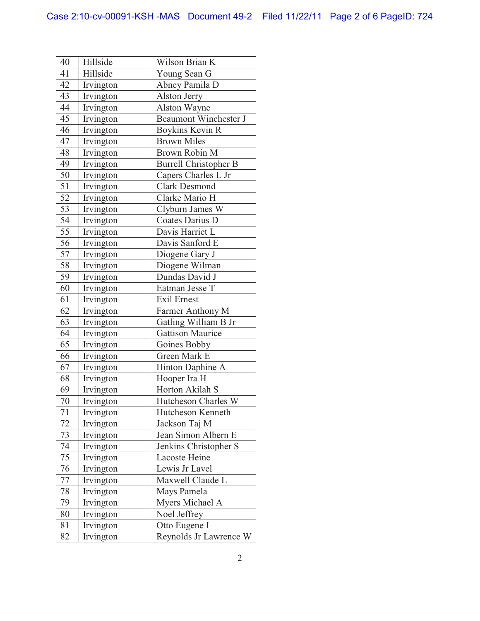| 40 | Hillside  | Wilson Brian K               |
|----|-----------|------------------------------|
| 41 | Hillside  | Young Sean G                 |
| 42 | Irvington | Abney Pamila D               |
| 43 | Irvington | Alston Jerry                 |
| 44 | Irvington | Alston Wayne                 |
| 45 | Irvington | <b>Beaumont Winchester J</b> |
| 46 | Irvington | Boykins Kevin R              |
| 47 | Irvington | <b>Brown Miles</b>           |
| 48 | Irvington | <b>Brown Robin M</b>         |
| 49 | Irvington | <b>Burrell Christopher B</b> |
| 50 | Irvington | Capers Charles L Jr          |
| 51 | Irvington | <b>Clark Desmond</b>         |
| 52 | Irvington | Clarke Mario H               |
| 53 | Irvington | Clyburn James W              |
| 54 | Irvington | Coates Darius D              |
| 55 | Irvington | Davis Harriet L              |
| 56 | Irvington | Davis Sanford E              |
| 57 | Irvington | Diogene Gary J               |
| 58 | Irvington | Diogene Wilman               |
| 59 | Irvington | Dundas David J               |
| 60 | Irvington | Eatman Jesse T               |
| 61 | Irvington | <b>Exil Ernest</b>           |
| 62 | Irvington | Farmer Anthony M             |
| 63 | Irvington | Gatling William B Jr         |
| 64 | Irvington | <b>Gattison Maurice</b>      |
| 65 | Irvington | Goines Bobby                 |
| 66 | Irvington | Green Mark E                 |
| 67 | Irvington | Hinton Daphine A             |
| 68 | Irvington | Hooper Ira H                 |
| 69 | Irvington | Horton Akilah S              |
| 70 | Irvington | Hutcheson Charles W          |
| 71 | Irvington | Hutcheson Kenneth            |
| 72 | Irvington | Jackson Taj M                |
| 73 | Irvington | Jean Simon Albern E          |
| 74 | Irvington | Jenkins Christopher S        |
| 75 | Irvington | Lacoste Heine                |
| 76 | Irvington | Lewis Jr Lavel               |
| 77 | Irvington | Maxwell Claude L             |
| 78 | Irvington | Mays Pamela                  |
| 79 | Irvington | Myers Michael A              |
| 80 | Irvington | Noel Jeffrey                 |
| 81 | Irvington | Otto Eugene I                |
| 82 | Irvington | Reynolds Jr Lawrence W       |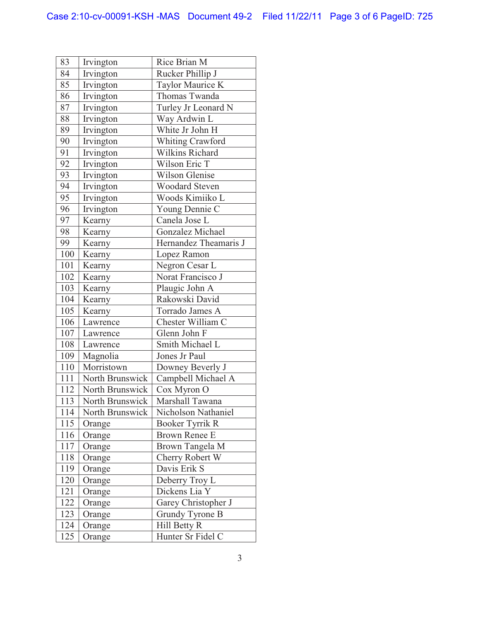| 83  | Irvington       | Rice Brian M          |
|-----|-----------------|-----------------------|
| 84  | Irvington       | Rucker Phillip J      |
| 85  | Irvington       | Taylor Maurice K      |
| 86  | Irvington       | Thomas Twanda         |
| 87  | Irvington       | Turley Jr Leonard N   |
| 88  | Irvington       | Way Ardwin L          |
| 89  | Irvington       | White Jr John H       |
| 90  | Irvington       | Whiting Crawford      |
| 91  | Irvington       | Wilkins Richard       |
| 92  | Irvington       | Wilson Eric T         |
| 93  | Irvington       | <b>Wilson Glenise</b> |
| 94  | Irvington       | <b>Woodard Steven</b> |
| 95  | Irvington       | Woods Kimiiko L       |
| 96  | Irvington       | Young Dennie C        |
| 97  | Kearny          | Canela Jose L         |
| 98  | Kearny          | Gonzalez Michael      |
| 99  | Kearny          | Hernandez Theamaris J |
| 100 | Kearny          | Lopez Ramon           |
| 101 | Kearny          | Negron Cesar L        |
| 102 | Kearny          | Norat Francisco J     |
| 103 | Kearny          | Plaugic John A        |
| 104 | Kearny          | Rakowski David        |
| 105 | Kearny          | Torrado James A       |
| 106 | Lawrence        | Chester William C     |
| 107 | Lawrence        | Glenn John F          |
| 108 | Lawrence        | Smith Michael L       |
| 109 | Magnolia        | Jones Jr Paul         |
| 110 | Morristown      | Downey Beverly J      |
| 111 | North Brunswick | Campbell Michael A    |
| 112 | North Brunswick | Cox Myron O           |
| 113 | North Brunswick | Marshall Tawana       |
| 114 | North Brunswick | Nicholson Nathaniel   |
| 115 | Orange          | Booker Tyrrik R       |
| 116 | Orange          | Brown Renee E         |
| 117 | Orange          | Brown Tangela M       |
| 118 | Orange          | Cherry Robert W       |
| 119 | Orange          | Davis Erik S          |
| 120 | Orange          | Deberry Troy L        |
| 121 | Orange          | Dickens Lia Y         |
| 122 | Orange          | Garey Christopher J   |
| 123 | Orange          | Grundy Tyrone B       |
| 124 | Orange          | Hill Betty R          |
| 125 | Orange          | Hunter Sr Fidel C     |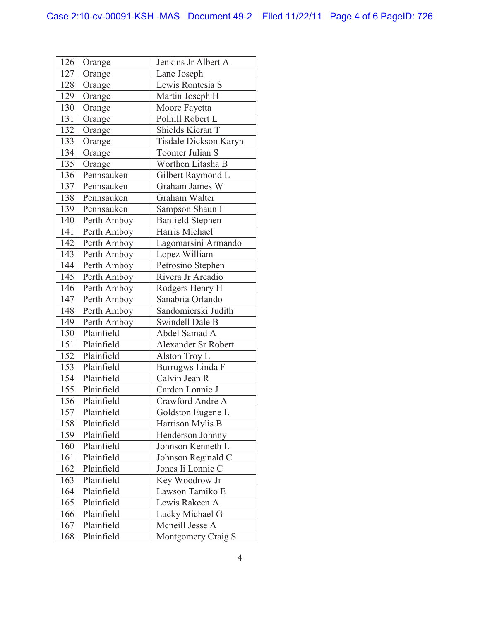| 126 | Orange      | Jenkins Jr Albert A     |
|-----|-------------|-------------------------|
| 127 | Orange      | Lane Joseph             |
| 128 | Orange      | Lewis Rontesia S        |
| 129 | Orange      | Martin Joseph H         |
| 130 | Orange      | Moore Fayetta           |
| 131 | Orange      | Polhill Robert L        |
| 132 | Orange      | Shields Kieran T        |
| 133 | Orange      | Tisdale Dickson Karyn   |
| 134 | Orange      | Toomer Julian S         |
| 135 | Orange      | Worthen Litasha B       |
| 136 | Pennsauken  | Gilbert Raymond L       |
| 137 | Pennsauken  | Graham James W          |
| 138 | Pennsauken  | Graham Walter           |
| 139 | Pennsauken  | Sampson Shaun I         |
| 140 | Perth Amboy | <b>Banfield Stephen</b> |
| 141 | Perth Amboy | Harris Michael          |
| 142 | Perth Amboy | Lagomarsini Armando     |
| 143 | Perth Amboy | Lopez William           |
| 144 | Perth Amboy | Petrosino Stephen       |
| 145 | Perth Amboy | Rivera Jr Arcadio       |
| 146 | Perth Amboy | Rodgers Henry H         |
| 147 | Perth Amboy | Sanabria Orlando        |
| 148 | Perth Amboy | Sandomierski Judith     |
| 149 | Perth Amboy | <b>Swindell Dale B</b>  |
| 150 | Plainfield  | Abdel Samad A           |
| 151 | Plainfield  | Alexander Sr Robert     |
| 152 | Plainfield  | Alston Troy L           |
| 153 | Plainfield  | Burrugws Linda F        |
| 154 | Plainfield  | Calvin Jean R           |
| 155 | Plainfield  | Carden Lonnie J         |
| 156 | Plainfield  | Crawford Andre A        |
| 157 | Plainfield  | Goldston Eugene L       |
| 158 | Plainfield  | Harrison Mylis B        |
| 159 | Plainfield  | Henderson Johnny        |
| 160 | Plainfield  | Johnson Kenneth L       |
| 161 | Plainfield  | Johnson Reginald C      |
| 162 | Plainfield  | Jones Ii Lonnie C       |
| 163 | Plainfield  | Key Woodrow Jr          |
| 164 | Plainfield  | Lawson Tamiko E         |
| 165 | Plainfield  | Lewis Rakeen A          |
| 166 | Plainfield  | Lucky Michael G         |
| 167 | Plainfield  | Mcneill Jesse A         |
| 168 | Plainfield  | Montgomery Craig S      |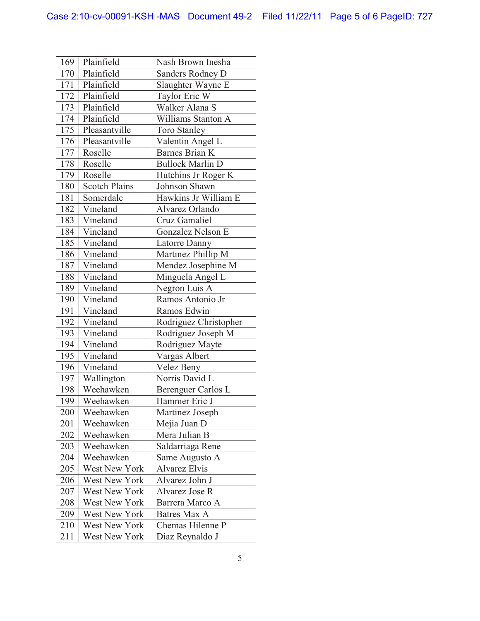| 169 | Plainfield           | Nash Brown Inesha        |
|-----|----------------------|--------------------------|
| 170 | Plainfield           | Sanders Rodney D         |
| 171 | Plainfield           | Slaughter Wayne E        |
| 172 | Plainfield           | Taylor Eric W            |
| 173 | Plainfield           | Walker Alana S           |
|     | 174 Plainfield       | Williams Stanton A       |
| 175 | Pleasantville        | <b>Toro Stanley</b>      |
| 176 | Pleasantville        | Valentin Angel L         |
| 177 | Roselle              | <b>Barnes Brian K</b>    |
| 178 | Roselle              | <b>Bullock Marlin D</b>  |
|     | 179 Roselle          | Hutchins Jr Roger K      |
| 180 | <b>Scotch Plains</b> | Johnson Shawn            |
| 181 | Somerdale            | Hawkins Jr William E     |
| 182 | Vineland             | Alvarez Orlando          |
| 183 | Vineland             | Cruz Gamaliel            |
|     | 184 Vineland         | <b>Gonzalez Nelson E</b> |
| 185 | Vineland             | Latorre Danny            |
| 186 | Vineland             | Martinez Phillip M       |
| 187 | Vineland             | Mendez Josephine M       |
| 188 | Vineland             | Minguela Angel L         |
| 189 | Vineland             | Negron Luis A            |
| 190 | Vineland             | Ramos Antonio Jr         |
| 191 | Vineland             | Ramos Edwin              |
| 192 | Vineland             | Rodriguez Christopher    |
| 193 | Vineland             | Rodriguez Joseph M       |
| 194 | Vineland             | Rodriguez Mayte          |
| 195 | Vineland             | Vargas Albert            |
| 196 | Vineland             | Velez Beny               |
| 197 | Wallington           | Norris David L           |
| 198 | Weehawken            | Berenguer Carlos L       |
| 199 | Weehawken            | Hammer Eric J            |
| 200 | Weehawken            | Martinez Joseph          |
| 201 | Weehawken            | Mejia Juan D             |
| 202 | Weehawken            | Mera Julian B            |
| 203 | Weehawken            | Saldarriaga Rene         |
| 204 | Weehawken            | Same Augusto A           |
| 205 | <b>West New York</b> | <b>Alvarez Elvis</b>     |
| 206 | <b>West New York</b> | Alvarez John J           |
| 207 | West New York        | Alvarez Jose R           |
| 208 | <b>West New York</b> | Barrera Marco A          |
| 209 | West New York        | <b>Batres Max A</b>      |
| 210 | <b>West New York</b> | Chemas Hilenne P         |
| 211 | West New York        | Diaz Reynaldo J          |